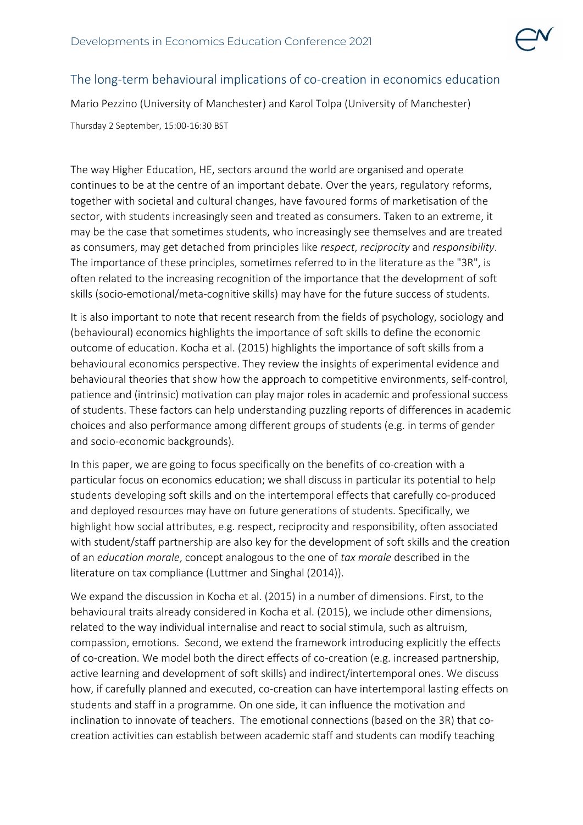

## The long-term behavioural implications of co-creation in economics education

Mario Pezzino (University of Manchester) and Karol Tolpa (University of Manchester)

Thursday 2 September, 15:00-16:30 BST

The way Higher Education, HE, sectors around the world are organised and operate continues to be at the centre of an important debate. Over the years, regulatory reforms, together with societal and cultural changes, have favoured forms of marketisation of the sector, with students increasingly seen and treated as consumers. Taken to an extreme, it may be the case that sometimes students, who increasingly see themselves and are treated as consumers, may get detached from principles like *respect*, *reciprocity* and *responsibility*. The importance of these principles, sometimes referred to in the literature as the "3R", is often related to the increasing recognition of the importance that the development of soft skills (socio-emotional/meta-cognitive skills) may have for the future success of students.

It is also important to note that recent research from the fields of psychology, sociology and (behavioural) economics highlights the importance of soft skills to define the economic outcome of education. Kocha et al. (2015) highlights the importance of soft skills from a behavioural economics perspective. They review the insights of experimental evidence and behavioural theories that show how the approach to competitive environments, self-control, patience and (intrinsic) motivation can play major roles in academic and professional success of students. These factors can help understanding puzzling reports of differences in academic choices and also performance among different groups of students (e.g. in terms of gender and socio-economic backgrounds).

In this paper, we are going to focus specifically on the benefits of co-creation with a particular focus on economics education; we shall discuss in particular its potential to help students developing soft skills and on the intertemporal effects that carefully co-produced and deployed resources may have on future generations of students. Specifically, we highlight how social attributes, e.g. respect, reciprocity and responsibility, often associated with student/staff partnership are also key for the development of soft skills and the creation of an *education morale*, concept analogous to the one of *tax morale* described in the literature on tax compliance (Luttmer and Singhal (2014)).

We expand the discussion in Kocha et al. (2015) in a number of dimensions. First, to the behavioural traits already considered in Kocha et al. (2015), we include other dimensions, related to the way individual internalise and react to social stimula, such as altruism, compassion, emotions. Second, we extend the framework introducing explicitly the effects of co-creation. We model both the direct effects of co-creation (e.g. increased partnership, active learning and development of soft skills) and indirect/intertemporal ones. We discuss how, if carefully planned and executed, co-creation can have intertemporal lasting effects on students and staff in a programme. On one side, it can influence the motivation and inclination to innovate of teachers. The emotional connections (based on the 3R) that cocreation activities can establish between academic staff and students can modify teaching